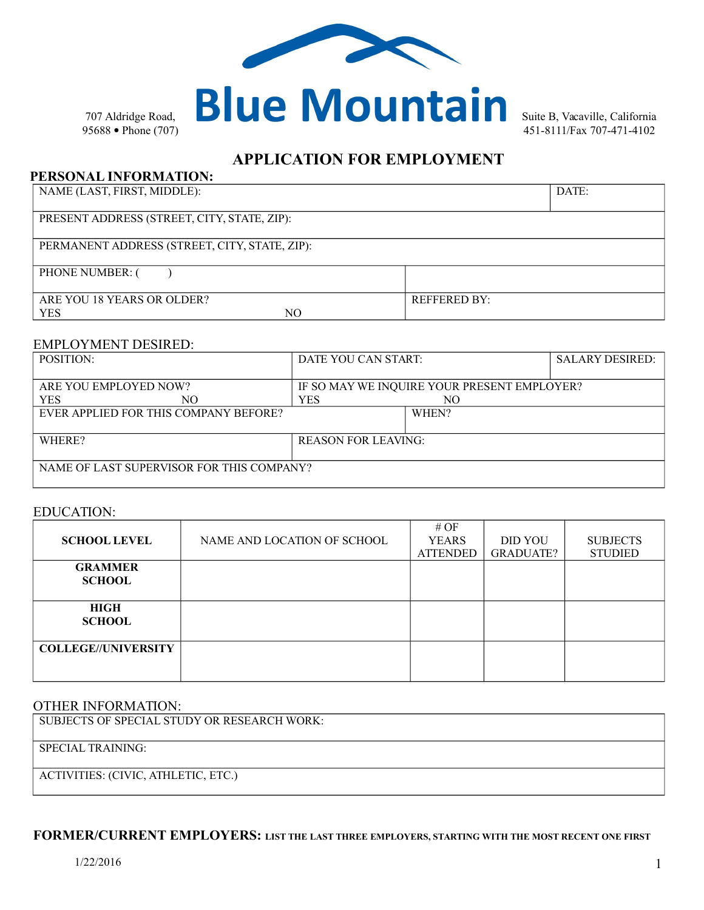

# **APPLICATION FOR EMPLOYMENT**

### **PERSONAL INFORMATION:**

NAME (LAST, FIRST, MIDDLE): DATE:

| PRESENT ADDRESS (STREET, CITY, STATE, ZIP): |  |
|---------------------------------------------|--|
|                                             |  |

PERMANENT ADDRESS (STREET, CITY, STATE, ZIP):

PHONE NUMBER: ()

| ARE YOU 18 YEARS OR OLDER? |    | <b>REFFERED BY:</b> |
|----------------------------|----|---------------------|
| YES                        | NC |                     |

### EMPLOYMENT DESIRED:

| <b>POSITION:</b>                          | DATE YOU CAN START:                         |       | <b>SALARY DESIRED:</b> |
|-------------------------------------------|---------------------------------------------|-------|------------------------|
|                                           |                                             |       |                        |
| ARE YOU EMPLOYED NOW?                     | IF SO MAY WE INQUIRE YOUR PRESENT EMPLOYER? |       |                        |
| <b>YES</b><br>NО                          | YES                                         | NO.   |                        |
| EVER APPLIED FOR THIS COMPANY BEFORE?     |                                             | WHEN? |                        |
|                                           |                                             |       |                        |
| WHERE?                                    | <b>REASON FOR LEAVING:</b>                  |       |                        |
|                                           |                                             |       |                        |
| NAME OF LAST SUPERVISOR FOR THIS COMPANY? |                                             |       |                        |
|                                           |                                             |       |                        |

### EDUCATION:

| <b>SCHOOL LEVEL</b>             | NAME AND LOCATION OF SCHOOL | # $OF$<br><b>YEARS</b><br><b>ATTENDED</b> | <b>DID YOU</b><br><b>GRADUATE?</b> | <b>SUBJECTS</b><br><b>STUDIED</b> |
|---------------------------------|-----------------------------|-------------------------------------------|------------------------------------|-----------------------------------|
| <b>GRAMMER</b><br><b>SCHOOL</b> |                             |                                           |                                    |                                   |
| <b>HIGH</b><br><b>SCHOOL</b>    |                             |                                           |                                    |                                   |
| <b>COLLEGE//UNIVERSITY</b>      |                             |                                           |                                    |                                   |

#### OTHER INFORMATION:

| SUBJECTS OF SPECIAL STUDY OR RESEARCH WORK: |
|---------------------------------------------|
| SPECIAL TRAINING:                           |
| ACTIVITIES: (CIVIC, ATHLETIC, ETC.)         |

## **FORMER/CURRENT EMPLOYERS: LIST THE LAST THREE EMPLOYERS, STARTING WITH THE MOST RECENT ONE FIRST**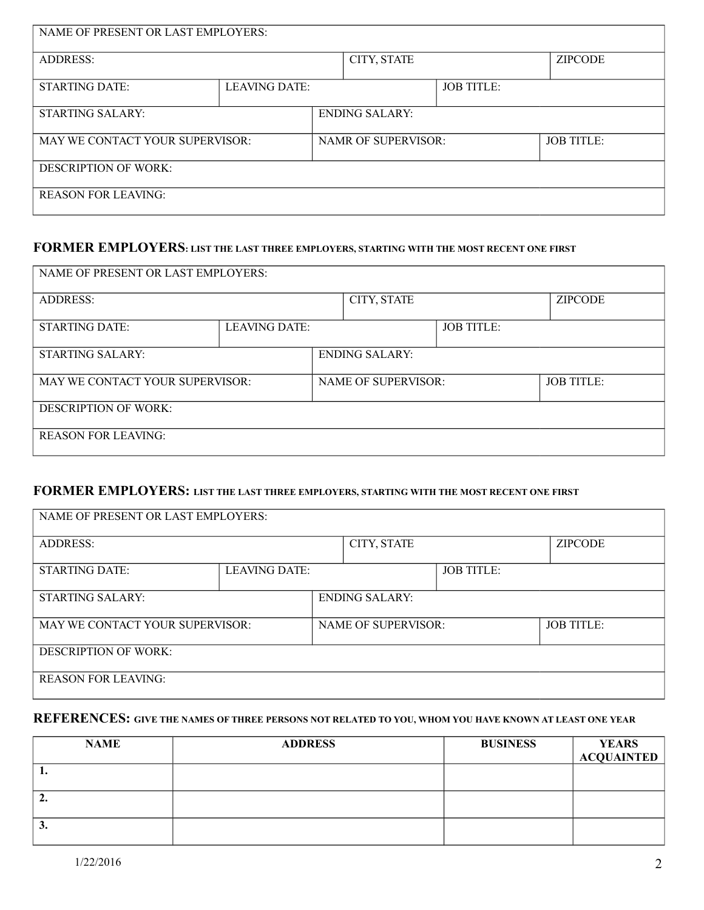| NAME OF PRESENT OR LAST EMPLOYERS: |                      |                |                            |                   |                   |  |
|------------------------------------|----------------------|----------------|----------------------------|-------------------|-------------------|--|
| <b>ADDRESS:</b>                    |                      |                | CITY, STATE                |                   | <b>ZIPCODE</b>    |  |
| <b>STARTING DATE:</b>              | <b>LEAVING DATE:</b> |                |                            | <b>JOB TITLE:</b> |                   |  |
| STARTING SALARY:                   |                      | ENDING SALARY: |                            |                   |                   |  |
| MAY WE CONTACT YOUR SUPERVISOR:    |                      |                | <b>NAMR OF SUPERVISOR:</b> |                   | <b>JOB TITLE:</b> |  |
| <b>DESCRIPTION OF WORK:</b>        |                      |                |                            |                   |                   |  |
| <b>REASON FOR LEAVING:</b>         |                      |                |                            |                   |                   |  |

## **FORMER EMPLOYERS: LIST THE LAST THREE EMPLOYERS, STARTING WITH THE MOST RECENT ONE FIRST**

| NAME OF PRESENT OR LAST EMPLOYERS: |                      |                                                 |             |                   |                |  |  |
|------------------------------------|----------------------|-------------------------------------------------|-------------|-------------------|----------------|--|--|
| <b>ADDRESS:</b>                    |                      |                                                 | CITY, STATE |                   | <b>ZIPCODE</b> |  |  |
| <b>STARTING DATE:</b>              | <b>LEAVING DATE:</b> |                                                 |             | <b>JOB TITLE:</b> |                |  |  |
| <b>STARTING SALARY:</b>            |                      | <b>ENDING SALARY:</b>                           |             |                   |                |  |  |
| MAY WE CONTACT YOUR SUPERVISOR:    |                      | <b>NAME OF SUPERVISOR:</b><br><b>JOB TITLE:</b> |             |                   |                |  |  |
| DESCRIPTION OF WORK:               |                      |                                                 |             |                   |                |  |  |
| <b>REASON FOR LEAVING:</b>         |                      |                                                 |             |                   |                |  |  |

## **FORMER EMPLOYERS: LIST THE LAST THREE EMPLOYERS, STARTING WITH THE MOST RECENT ONE FIRST**

| NAME OF PRESENT OR LAST EMPLOYERS: |                      |                            |             |                   |                   |  |
|------------------------------------|----------------------|----------------------------|-------------|-------------------|-------------------|--|
| <b>ADDRESS:</b>                    |                      |                            | CITY, STATE |                   | <b>ZIPCODE</b>    |  |
| <b>STARTING DATE:</b>              | <b>LEAVING DATE:</b> |                            |             | <b>JOB TITLE:</b> |                   |  |
| STARTING SALARY:                   |                      | <b>ENDING SALARY:</b>      |             |                   |                   |  |
| MAY WE CONTACT YOUR SUPERVISOR:    |                      | <b>NAME OF SUPERVISOR:</b> |             |                   | <b>JOB TITLE:</b> |  |
| <b>DESCRIPTION OF WORK:</b>        |                      |                            |             |                   |                   |  |
| <b>REASON FOR LEAVING:</b>         |                      |                            |             |                   |                   |  |

# **REFERENCES: GIVE THE NAMES OF THREE PERSONS NOT RELATED TO YOU, WHOM YOU HAVE KNOWN AT LEAST ONE YEAR**

| <b>NAME</b> | <b>ADDRESS</b> | <b>BUSINESS</b> | <b>YEARS</b><br><b>ACQUAINTED</b> |
|-------------|----------------|-----------------|-----------------------------------|
| . .         |                |                 |                                   |
| ۷.          |                |                 |                                   |
| J.          |                |                 |                                   |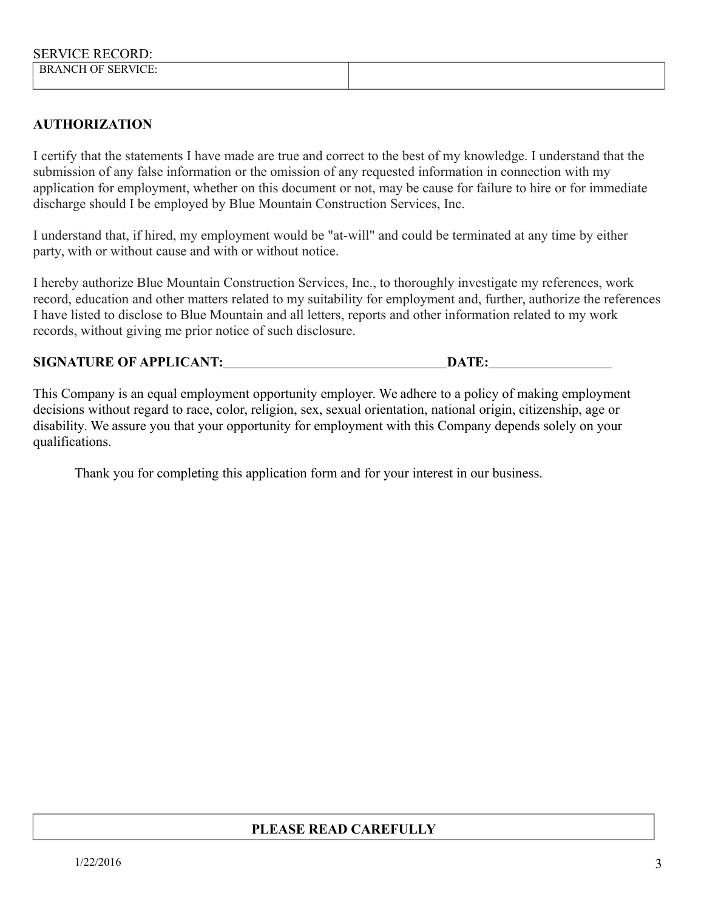## **AUTHORIZATION**

I certify that the statements I have made are true and correct to the best of my knowledge. I understand that the submission of any false information or the omission of any requested information in connection with my application for employment, whether on this document or not, may be cause for failure to hire or for immediate discharge should I be employed by Blue Mountain Construction Services, Inc.

I understand that, if hired, my employment would be "at-will" and could be terminated at any time by either party, with or without cause and with or without notice.

I hereby authorize Blue Mountain Construction Services, Inc., to thoroughly investigate my references, work record, education and other matters related to my suitability for employment and, further, authorize the references I have listed to disclose to Blue Mountain and all letters, reports and other information related to my work records, without giving me prior notice of such disclosure.

### **SIGNATURE OF APPLICANT: DATE: DATE:**

This Company is an equal employment opportunity employer. We adhere to a policy of making employment decisions without regard to race, color, religion, sex, sexual orientation, national origin, citizenship, age or disability. We assure you that your opportunity for employment with this Company depends solely on your qualifications.

Thank you for completing this application form and for your interest in our business.

## **PLEASE READ CAREFULLY**